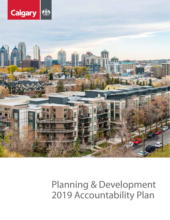

# Planning & Development 2019 Accountability Plan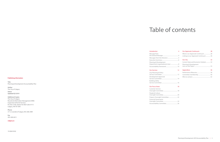#### **Publishing Information**

**Title** Planning & Development Accountability Plan

**Author**  The City of Calgary

**Status Updated Q3 2019**

#### **Additional Copies**

Message from the General Manager.... Messages from the Directors ..... Executive Summary Planning & Develop Department organi:

#### **Our Services**

The City of Calgary Records & Information Management (RIM) Inspection & Permit Services P.O. Box 2100, Station M, Mail Code: 8115 Calgary, AB T2P 2M5

**Phone** 311 or outside of Calgary 403-268-2489

**Fax** 403-268-4615

#### **calgary.ca**

19-00618182

# Table of contents

#### Introduction

4

| Planning & Development           |  |
|----------------------------------|--|
|                                  |  |
|                                  |  |
| <b>Our Services</b><br>12        |  |
| City Planning & Policy           |  |
|                                  |  |
| Development Approvals            |  |
|                                  |  |
| <b>Building Safety</b>           |  |
|                                  |  |
|                                  |  |
| <b>Our Focus Areas</b><br>18     |  |
| Customer Service                 |  |
|                                  |  |
| People & Culture                 |  |
|                                  |  |
| Projects Oversight Committee  22 |  |
| <b>Financial Governance</b>      |  |

| $\overline{4}$ | <b>Our Approvals Continuum:</b>        | 28 |
|----------------|----------------------------------------|----|
|                |                                        |    |
| 4              | Linking to our Approvals Continuum  30 |    |
| 5              |                                        |    |
| 6              | <b>Our City</b>                        | 32 |
|                | Current State and Economic Outlook 32  |    |
| 8              | Planning & Development                 |    |
| 10             |                                        |    |
| 12             | <b>Appendices</b>                      | 36 |
|                |                                        |    |
| 12             |                                        |    |
|                |                                        |    |

Customer Service People & Culture Projects Oversight Financial Governance Oversight Committee ............................................ 24 Accountability Committee................................... 26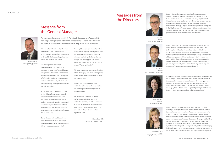## Message from the General Manager

We are pleased to present our 2019 Planning & Development Accountability Plan. Its primary purpose is to communicate our goals and objectives for 2019 and outline our internal processes to help make them successful.

This plan is how Planning & Development will deliver the One Calgary 2019-2022 service plan and budget that was approved by Council, it also lays out the policies and culture that guide us in our work.

The overall goals of Planning & Development are to ensure that the Municipal Development Plan and Calgary Transportation Plan visions are advanced, development is realized and buildings are safe. To enable getting to these outcomes, we provide three services, which are City Planning & Policy, Development Approvals, and Building Safety.

At the core of our successes is a focus on service delivery for our customers and citizens. Our customers success is our success, we want to make sure that the work we are doing is enabling a smart and healthy development environment and not hindering it. This approach is part of our corporate culture and is part of how we deliver our services.

Our services are delivered through our team of approximately 535 Planning & Development staff, and complemented by 200 corporate approvals team staff.

Planning & Development plays a key role in facilitating the ongoing building of our great city. We set the foundation for the future of the city and help guide the continuous changes we see every year. Our work is connected to every part of the corporation, because "Planning is leading".

This requires applying exceptional planning, in both developing and re-developing areas, as well as working with developers, builders and homeowners.

We want you to see how your work contributes to the key result areas, and how you can be a part of delivering excellent customer service.

I encourage you to review this plan as a reference point for how your work contributes to and is part of the services we provide as a department, and the outcomes, towards which we're all working. We look forward to all the great work we'll do together in 2019.

> Stuart Dalgleish, Planning and Development









## Messages from the Directors



Stuart Dalgleish Planning & Development General Manager



Josh White Director Calgary Approvals Coordination

"Calgary Approvals Coordination oversees the approvals process across the land development continuum. We also mange the technical, financial and contractual obligations related to new public infrastructure and new land development projects. Our team supports approvals staff to realize high-quality developments while working closely with our customers, industry groups and communities. These relationships serve to identify opportunities to improve Planning & Development's service offerings through process improvements, enhanced staff training, and driving our department's customer centric culture forward."



Matthias Tita Director Calgary Growth Strategies

"Calgary Growth Strategies is responsible for developing the long-term vision for land use planning, and building the tools to implement this vision. This includes providing expertise and information on land, housing and population to enable the growth and long-term sustainability of our city, as well as overseeing departmental strategy. Calgary Growth Strategies has a leading role in the City Planning & Policy service to set, implement, and monitor city-wide land use plans, regulations and funding frameworks in partnership with internal and external stakeholders."



Debra Hamilton Director Community Planning



"Community Planning is focused on achieving the corporate goals of the Municipal Development Plan and Calgary Transportation Plan through policy development, application reviews and approvals. Our work is customer-focused and we pride ourselves on our interactions with our partners, stakeholders and the people who call Calgary home. We are aiming high and growing smart to make Calgary a place where people love to live, work and play."

Brenda Desjardins Director Calgary Building Services "Calgary Building Services is the initial point of contact for many Planning & Development services - including applications, permits, business licences and inspections. We support customers and offer guidance in-person, over the phone and online. Calgary Building Services uses an outcome-based approach to educate our customers about the requirements for safe and approved development, building use and occupancy. Through industry committees and working groups, Calgary Building Services also advocates for changes to legislation on building codes, both provincially and nationally. Calgary Building Services invests in service improvement initiatives that deliver the right solutions to meet the needs and expectations of Calgarians."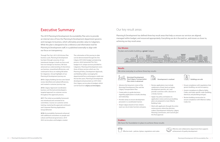## Executive Summary

The 2019 Planning & Development Accountability Plan aims to provide an internal view of how the Planning & Development department governs and manages its business, which ultimately provides value to Calgarians. While this plan is designed to be a reference and information tool for Planning & Development staff, it is published externally to align with our focus on transparency.

Through The City's 2015-2018 Action Plan business cycle, Planning & Development has been through a journey of very intentional changes in both our focus and how we manage our business. We have advanced our understanding of what drives our business, streamlined efficiencies, and continued to focus on making life better for Calgarians. Annual highlights of our Planning & Development journey are:

**2015:** Calgary Building Services zero-based review identified and realized efficiencies, and created a customer journey map.

**2016:** Calgary Approvals Coordination business unit formed and developed a targeted approach to customer service throughout the approvals process.

**2017:** The initial accountability framework was introduced and consisted of six committees. Courses on customer centric training, mastering the approvals continuum and Corporate Planning Applications Group delivered.

**2018:** Accountability framework enhanced with additional committees on people and culture and financial governance. 2019- 2022 service plans and budgets created.

The culmination of this journey to date can be demonstrated through the One Calgary 2019-2022 budget and planning process, which presented The City's budget in 61 unique services provided to Calgarians. Planning & Development owns three of these services which are: City Planning & Policy, Development Approvals, and Building Safety. Leveraging the departmental focus and progress made over the last few years, Planning & Development developed and presented our 2019-2022 One Calgary service plans & budgets which can be found on **calgary.ca/onecalgary**

### Our key result areas

Planning & Development has defined three key result areas that help us ensure our services are aligned, managed within budget, and resourced appropriately. Everything we do is focused on, and moves us closer to, achieving our key result areas.

#### **Our Mission**



#### **Results**

We strive everyday to achieve three key results



#### **Enablers**

We have the foundation in place to achieve these results

श्वीक्षि

Effective and collaborative department that supports achievement of quality development

**Municipal Development Plan/Calgary Transportation Plan vision is advanced**



- Advance the long-term vision of the Municipal Development Plan and the Calgary Transportation Plan.
- Create policy to guide decisions regarding applications to build, develop, and redevelop.
- Provide clarity to ensure development proceeds in a coordinated manner.
- Shape Calgary based on how citizens want our city to look, function and grow.
- Review applications (can include subdivision of land, land use bylaw, development permits, etc.) and provide customers with a decision in a timely manner.

 $\lfloor \ln n \rfloor$ 

- Apply City policy and bylaws to application review and ensure building plans are prepared to meet Alberta Building Code.
- Work with applicants through the entire review process where key decisionmakers (Development Authority, Calgary Planning Commission, and Council) give the final approval.
- Ensure compliance with regulations that govern building, use and occupancy.
- Govern compliance to Alberta Safety Codes, and trade-specific codes (building, electrical, and plumbing and gas).
- Review building construction to ensure compliance with Alberta's Safety Codes Act.

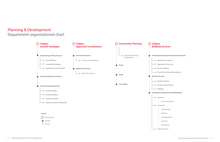#### **Development Applications & Licensing Services**

- -O Application & Inquiries
- -O Application Processing
	-
- -O Record & Information Management
	-
	-
- -O Business Improvements
	-
- **Development Approvals & Building Safety** 
	-
	- :..... Plans Examination
		-
	- ... Development
		-
	- ..... Plumbing & Gas
	- ..... Electrical
	- i..... Mechanical
	- -O Safety Response



O Section

## Planning & Development Department organizational chart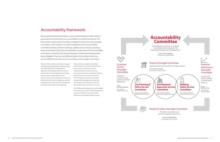## Accountability framework

Planning & Development employs a service-based delivery model, which is governed and monitored by an accountability committee framework. This framework is structured by monthly management-led service and oversight committees, which report in to a full management team accountability committee meeting. At these meetings, updates on our services and focus areas are provided, and issues and strategies are discussed. The accountability committee is chaired by the General Manager of Planning & Development, Stuart Dalgleish. There are two different types of committees within our accountability framework: service committees and oversight committees.

There are three service committees focused on Planning & Development's three services: City Planning & Policy, Development Approvals and Building Safety. The service committees are chaired by the One Calgary service owners responsible for those services. The service committees monitor the delivery of the service to Calgarians, provide ongoing service improvements, and identify any issues which need to be addressed.

Financial Governance **Oversight Committee** 

There are four oversight committees which enhance our service delivery and also advance our four focus areas: People & Culture, Customer Service, Financial Governance, and Project Delivery (business and service improvements). The oversight committees are chaired by department leaders and comprised of managers and staff from across the department who contribute to success.

The Planning & Development accountability framework is essential to effectively advance our service delivery, increase internal efficiencies, and realize budget savings.



Current and future visibility of department finances.

**Chair: Matthias Tita** Coordinator: Randel Madell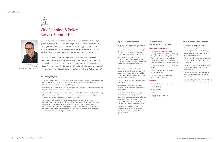## City Planning & Policy Service Committee

"As Calgary continues to grow, it also continues to change. As The City's planners, strategists, analysts, and project managers in Calgary Growth Strategies, Community Planning and Urban Strategy, it is our role to understand and anticipate these changes and to provide the tools that enable the city to meet Calgarians' needs – today and in the future.

We work with other business units to shape where, how and when our city should grow, and what investments are needed for this growth. Our work results in the long-term vision for the city and the growth plans that reflect the goals of individual neighbourhoods. This work is continued in increasing detail through Development Approvals and Building Safety."

#### **2018 Highlights**

- The New Communities Growth and Change Strategy enabled Council to make an informed decision regarding 14 new community growth areas. This work is continuing in the Established Areas Growth and Change Strategy.
- Launched a new approach to local area policy planning that looks at multiple communities together instead of one community at a time.
- Amendments to the Developed Areas Guidebook support the new approach to community planning and will provide common planning tools to focus on each community's unique character and consistent guidance across communities.
- Community Planning and the Main Streets team worked together to create the International Avenue Area Redevelopment Plan. Based on the Southeast 17 Corridor: Land Use and Urban Design Concept (Corridor Concept Plan) it created certainty for local stakeholders, provided a clear vision for main streets, created shorter timelines for redevelopment through appropriate land use districts, and reinforced The City's investment in public realm improvements.

#### **Key 2019 deliverables**

- Number of Municipal Heritage Designations completed (total).
- Percentage of the municipal heritage conservation grant program utilized in the current budget cycle.
- Per cent of Calgary's land area addressed in local area plans completed in last four years.
- Per cent of Municipal Development Plan intensity targets reached in strategic growth areas.
- Per cent of Local Area Plans that did not need amendments within four years of approval.
- Per cent of Calgarians that had opportunity to participate in community planning.

- Align key planning and policy initiatives focused on redevelopment and growth/ change to create effective tools. A major focus will also be on identifying what investments are needed for this growth.
- The Established Areas Growth and Change Strategy and Industrial Strategy goals are to identify required investments and accompanying financial tools to enable growth and change in those areas.
- The Developed Areas Guidebook will be completed, and implementation will begin. A key aspect of this work will be determining the appropriate shape and character of communities.
- Main Streets design and implementation will continue.
- The roll out of new multi-community plans will begin based on the North Hills pilot project.
- Increase our efforts to enable Calgarians to participate in planning their communities through exploring different ways of hearing from Calgarians and capturing their diverse perspectives, lifestyle needs and cultural preferences.
- Every year we will discuss our priority initiatives with Council to ensure we are focusing our resources to the greatest effect.

### **What teams contribute to success**

#### **Planning & Development**

- Calgary Growth Strategies: Growth Strategies, Strategic Initiatives, Planning Analytics & Reporting, City Wide Policy, Legislation & Land Use Bylaw, Sustainability Strategy, and Growth Funding & Investment, Geodemographics
- South
	- Calgary Building Services: Mapping, Business Services
	- Calgary Approvals Coordination: Training & Development
- Community Planning: North, Centre West,
	-

#### **Corporate**

- Business Partners: Communications
- Urban Strategy
- Transportation
- Parks
- Calgary Neighbourhoods

Chair: Joachim Mueller Manager City Planning & Policy Services

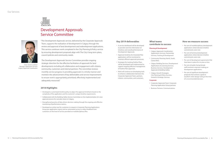## Development Approvals Service Committee

"The Development Approvals service, delivered by the Corporate Approvals Team, supports the realization of development in Calgary through the review and approval of land development and redevelopment applications. This service continues work completed in the City Planning & Policy service by ensuring development proposals align with The City's long-term plans, council policies and community needs.

The Development Approvals Service Committee provides ongoing strategic direction for the effective facilitation of approvals for land developments including all collaboration and engagement with citizens, community, customers and internal partners. The committee reviews monthly service progress in providing approvals in a timely manner and monitors the advancement of key deliverables and service improvements to ensure work is appropriately prioritized, effectively implemented and adequately resourced."

#### **2018 Highlights**

- Developed a customized timeline policy to adjust the approval timeframe based on the complexity of the application and the customer's unique timeline requirements.
- Collaborated with the Building Safety Service Committee on the implementation of a new approval process for cannabis stores in Calgary.
- Strengthened practice of data-driven decision making through the ongoing and effective monitoring of performance metrics.
- Developed an online tool for customers to request a Corporate Planning Applications Group pre-application inquiry and an automated survey to collect feedback from customers on the level of service provided on multidisciplinary files.

#### **Key 2019 deliverables**

- A service dashboard will be developed to provide real time information on timelines and overall performance of Development Approvals.
- Approval timelines for Amended Plan applications will be monitored to maintain efficient approvals processes.
- Strategies for tracking Outline Plans will be developed and implemented to support ongoing effective management of Outline Plan approvals.
- Work will continue on developing tools to enhance collaboration between the Corporate Approvals Team, partners, citizens, communities, and customers.

### **What teams contribute to success**

#### **Planning & Development**

 Calgary Approvals Coordination: Applications Services, Partnership Services, Training & Development

Community Planning: North, South,

 Calgary Building Services: Development Applications & Licensing Services, Business Services, Development

- 
- Centre West
- Approvals & Building Safety
- Calgary Growth Strategies: City Planning & Policy Services, Growth & Strategic Services

#### **Corporate**

- -

 Corporate Approvals Team: Corporate Planning Application Group partners

Business Partners: Communications

- Per cent of multidisciplinary development applications where decision timeline commitments were met.
- Per cent of technical development applications where decision timeline commitments were met.
- Per cent of development agreements that have been in place for six years or less.
- Per cent of public facing female staff involved in decision making on development applications.
- Per cent of significant development proposals that achieve a good or excellent urban design rating at the time of a recommended decision.





Chair: Darren Lockhart Manager, Application Services Calgary Approvals Coordination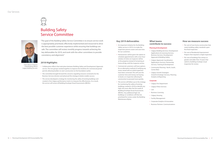## Building Safety Service Committee



"The goal of the Building Safety Service Committee is to ensure service work is appropriately prioritized, effectively implemented and resourced to drive the best possible customer experience while ensuring that buildings are safe. The committee will review monthly progress towards achieving the key deliverables for 2019, and work with the other committees to provide consistency and alignment."

### **2018 Highlights**

#### **Key 2019 deliverables**

- Calgary Fire Department
- Calgary Police Services
	- Law
- Business Licensing
- Per cent of new home construction that meets building safety standards upon first final inspection.
- Per cent of Residential Improvement Projects that required a single inspection.
- Per cent of buildings five storeys or greater and older than 10 years that submit a building envelope visual
- An important initiative for the Building Safety service in 2019 is to make the inspection process easier and save time for our customers.
- Homeowners will be given the option to schedule appointments with a two-hour window of when an inspector will be at the property instead of remaining at home all day until the inspector arrives.
- Commercial customers will have options for an alternative method of verifying any issues raised with an initial inspection have been corrected. This will save the customer time and money not having to book a re-inspection allowing for construction to proceed more quickly.
- The service will follow up on the strategy for monitoring the safety of existing buildings created in 2018 to identify any high-risk issues after the first audit of Building Envelope Visual Assessments (BEVA's). Any additional high-risk buildings or conditions will then be prioritized for review under the Building Maintenance Bylaw.
- Chief Building Official Calgary Building Services
- Collaboration efforts that took place between Building Safety and Development Approvals service. The two groups worked together to improve the timelines for commercial partial permits allowing builders to start construction on the foundation earlier.
- The committee brought forward the concerns regarding resource constraints for the Business Services division and advanced the strategy to better enable success.
- The service developed a strategy for monitoring the safety of existing buildings and created a One Calgary performance metric to measure the effectiveness. As a result, the service will review all Building Envelope Visual Assessments (BEVA's).

### **What teams contribute to success**

#### **Planning & Development**

 Calgary Building Services: Development Applications & Licensing Services, Business Services, Development

Applications Services, Partnership

- Approvals & Building Safety
- Calgary Approvals Coordination: Chair: Marco Civitarese **Exercicial Construction of the Services** of the Services, Training & Development inspection for review.
	- Centre West
	- Calgary Growth Strategies: Analytics & Reporting

Community Planning: North, South,

Growth & Strategic Services, Planning

#### **Corporate**

Calgary Housing

- Facility Management
- 
- 

Corporate Analytics & Innovation

Business Partners: Communications

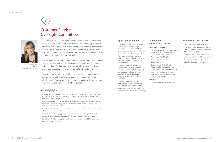## Customer Service Oversight Committee

"The Customer Service Oversight Committee exists to provide an "outsidein" lens to the three core service committees. Specifically, we provide our three service committees with a methodology to embed customer service expectations within their metrics and performance targets and ensure customer, community and citizen needs are consistently considered across all channels of communication/touchpoints.

The Customer Service Oversight Committee is focused on coordinating and aligning customer satisfaction surveys across the Approvals Continuum and service lines. Furthermore we work to develop a coordinated and holistic approach to engage and communicate with customers.

This committee also aims to establish an informed and engaged customer base, provide seamless and in plain language communications, offer reliable information and a consistent approach, and provide tools of choice in which to interact with Planning & Development."

#### **2018 Highlights**

- Launched a series of Home Improvement Open Houses to engage with customers and citizens and proactively provided relevant information on Planning & Development services in plain language.
- Expanded Customer Satisfaction Survey, developed questions across multiple Service Streams to span the planning continuum and advanced centralized surveying for Planning & Development services.
- Live Chat Feature (pilot) was successfully launched which is a Live Chat service in support of new small business and home owner's applications.
- Supported Invest in Calgary program through the "Business Friendly" actions and initiatives, collaborated to help advance The Invest In Calgary corporate program.
- Launched Online Service Applications for new businesses in June 2018, and manage my business in November 2018.

#### **Key 2019 deliverables**

- Develop a Customer & Citizen Insights Framework to provide oversight, coordination and action for customer & citizen related feedback from multi sources.
- Coordinate and further develop/refine Planning & Development customer and citizen survey questions across the continuum through a Customer and Citizen Survey.
- Continue to provide Customer and Citizen Communications strategic oversight for Planning & Development strategic communication ensuring consistent and clear messaging, particularly around high impact messaging.
- Continue to provide oversight and customer insight for Planning & Development and Corporate issues.
- Propose initiatives enabling short term commercial uses and are Business friendly.

### **What teams contribute to success**

#### **Planning & Development**

 Calgary Building Services: Development, Applications and Licensing Services, Business Services, Development

- Approvals and Building Safety
- Community Planning: North, Centre West, South
- Calgary Approvals Coordination: Partnership Services, Applications
- Analytics & Reporting

Services (CPAG), Training & Development

 Calgary Growth Strategy: Strategic Initiatives, City Wide Policy, Planning

**• Business Partners: Communications** 

#### **Corporate**

- Overall satisfaction survey results.
- Chat Service levels (Customers serviced within 45 seconds for initial contact and 120 seconds for reply)
- Participant rating of four out of five or better for the Partners in Planning sessions.
- Average speed of service (wait times for all customers under 20 minutes).



Chair: Brenda Desjardins Director Calgary Building Services

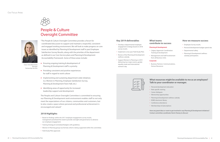## People & Culture Oversight Committee

"The People & Culture Oversight Committee provides a forum for coordinated discussion to support and maintain a respectful, consistent and engaged working environment. We will look to make progress on core issues as identified by Planning & Development staff in past Employee Satisfaction Survey Results, along with the priorities of the department as defined in our Core Service plans and Planning & Development Accountability Framework. Some of these areas include:

- **Ensuring ongoing training & development of** Planning & Development staff is a priority
- **Providing consistent and positive experiences** for staff in regard to work culture
- **IMPLEMENTIFY IMPLEMENTIFY** Implementing and sustaining department wide initiatives (i.e. Women in Planning, Employee Satisfaction Survey, Planning & Development Town Hall, etc.)
- **I** Identifying areas of opportunity for increased leadership support and development

- Based on findings within the 2017 employee engagement survey results, management prioritized the need to provide oversight and governance to advance our employee engagement.
- Training Strategy & Centralized Budgets with guidelines.
- Women In Planning group was formed, which is being supported within this committee.
- Field Study Pilot approved.

The People and Culture Oversight Committee is committed to ensuring our Planning & Development work environment enables staff to not only meet the expectations of our citizens, communities and customers, but to also create a space where personal and professional achievement is encouraged and valued."

### **2018 Highlights**

- 
- Role specific training
- Career dialogues
- Mentorship opportunities
- Planning & Development wellness subsidy
- ROBO electronic library
- Conference attendance
- 

- Personal development education
	-
	-
	-
- Memberships & Subscriptions

#### **Key 2019 deliverables**

- Develop a departmental employee engagement strategy based on 2018 survey results.
- Implement a two year Field Study Pilot.
- Review of the Planning & Development wellness subsidy.
- Support Women In Planning in 2019 delivering two major events, gender equality week and international women's day.

### **What teams contribute to success**

- 
- 

### **Planning & Development** Calgary Approvals Coordination:

- - Management and Staff involvement from all Business Units

#### **Corporate**

 Business Partners: Communications, Human Resources



#### **How we measure success**

- Training & Development
- **Employee Survey results.**
- Personal development budget spend rate.
- Departmental safety.
- Planning & Development wellness subsidy participation.

### **What resources might be available to me as an employee? Talk to your coordinator or manager.**

**Have any great ideas or want to get involved in any Planning & Development initiatives? Contact committee coordinator Kevin Chaney to discuss!**



Chair: Amie Blanchette Manager Partnership Services

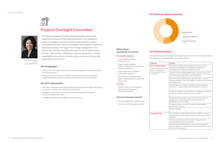## Projects Oversight Committee

"The Projects Oversight Committee provides strategic direction and leadership for projects in Planning & Development. The mandate for projects is to explore and invest in service improvements to achieve successful outcomes for citizens, communities, and customers. To prioritize improvement projects and support the strategic management of our services, the committee developed five goals for service improvements for 2019 – 2020: increase collaboration, enhance transparency, maintain predictability, utilize data for decision making, and ensure the long term sustainment of our services."

- Developers and builders will be able to submit applications online for large scale building constructions and large scale development applications.
- Developers and consultants will be able to monitor the progress of their public infrastructure agreements online.
- Developers and builders will be able to review plans online.

#### **2018 Highlights**

- Customers can now apply online for the all the permits required for home improvements and to sell a property.
- Businesses can now manage and apply for their business license online through an integrated approvals experience, supporting businesses as they grow and change.

#### **Key 2019 deliverables**



Chair: Debra Hamilton Director Community Planning

#### **What teams contribute to success**

#### **Planning & Development**

- Calgary Building Services: Business Services
- Calgary Growth Strategies: Growth & Strategic Services, Planning, Analytics & Reporting
- Calgary Approvals Coordination: Training & Development
- Other Business Unit subject matter experts and leadership on a project by project basis

#### **Corporate**

 Business Partners: Communications, Information Technology, and Facilities Management

#### **How we measure success**

- Per cent of applications available online.
- Per cent of customers applying online.

| Programs                                                                                | Projects                                                                                                                                                                                          |  |  |
|-----------------------------------------------------------------------------------------|---------------------------------------------------------------------------------------------------------------------------------------------------------------------------------------------------|--|--|
| <b>Service Enhancements</b><br>Projects that improve service<br>delivery and experience | Online Service: enables online self-directed journeys for those<br>customers building large scale development, planning new<br>development, and setting up a temporary structure.                 |  |  |
| of service interactions and<br>transactions.                                            | Customer Survey: provides insights into the "voice-of-the-customer"<br>so that resources can be aligned to customer needs for site servicing<br>and community amenity/infrastructure development. |  |  |
|                                                                                         | Continuous Process Improvements: customers, citizens, and staff<br>realize development, create safe buildings, and advance the Municipal<br>Development Plan.                                     |  |  |
|                                                                                         | Digital Collaboration: enables a fully digital review and approval<br>experience to support integrated project delivery for customers.                                                            |  |  |
|                                                                                         | Field Service Delivery: improves field service availability and provides<br>insights into the safety performance of communities.                                                                  |  |  |
|                                                                                         | Development Map: provides citizens and communities improved<br>opportunities to participate and learn about planning and<br>development activity in Calgary.                                      |  |  |
|                                                                                         | Our Space: enhances our space to enable an improved digital<br>experience for customers.                                                                                                          |  |  |
|                                                                                         | Platform Upgrades                                                                                                                                                                                 |  |  |
| <b>Growing The City</b>                                                                 | Service Insights and Data Capture: develops insights for customers,<br>citizens and communities through review of service, policy and bylaw<br>objectives.                                        |  |  |
|                                                                                         | Planning Scenario Analysis Tools: provides enhanced tools to<br>communicate impact of local area plans.                                                                                           |  |  |
|                                                                                         | Public Infrastructure Management: enables corporate alignment<br>and risk mitigation for community amenity development and public<br>infrastructure management.                                   |  |  |



### **2019 Planned Capital Investment**

### **2019 Planned Projects**

#### **Programs**

#### **Service Enhance**

The list below represents the projects currently planned to start work in 2019. Project timelines may change and Committee approval may still be required.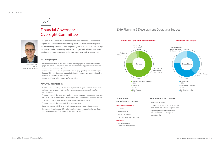## Financial Governance Oversight Committee

- Created a comprehensive two-page financial summary updated each month. This twopager incorporates a five-year financial forecast model enabling purposeful discussions driving a more sustainable operation.
- The committee reviewed and approved the One Calgary operating and capital four-year budgets. This body of work also included aligning the budget to resources within each of Planning & Developments three services.
- Streamlined Planning & Development fee schedules.

"The goal of the Financial Governance Committee is to oversee all financial aspects of the department and centrally discuss all issues and strategies to ensure Planning & Development is operating sustainability. Financial oversight is provided for both operating and capital budgets with a five-year financial outlook which we understand both by Business Unit, and by Service line."

#### **2018 Highlights**

#### **Key 2019 deliverables**

**Business Partners:** Communications, Finance

- Spend rate of capital.
- Comparison of actual costs by service and department compared to budgeted costs.
- permit activity.
- In 2019 we will be working with our Finance partners through the triennial reserve fund review process to update the terms of the reserve based on recommendations from the committee.
- The committee will also continue to work with our corporate partners to better understand budget process changes and work on integrating them to ensure a consolidated approach.
- Transparency and reporting between department and service budgets.
- The committee will also review guidelines for permit fees.
- Reviewing/creating guidelines for what is considered major project building permits.
- Progressing discussion around fee reductions (or what the adequate level of fees should be – this ties into variance from budget performance measures).

## 2019 Planning & Development Operating Budget



#### **Where does the money come from? What are the costs?**



Chair: Matthias Tita Director Calgary Growth Strategies



#### **What teams contribute to success**

#### **Planning & Development**

- Directors
- Service Owners
- All Dept ID owners
- Planning, Analytics & Reporting

#### **Corporate**

#### **How we measure success**

 Updated projections in response to economic trends and changes in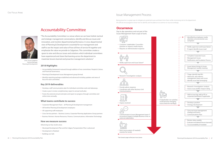## Accountability Committee

"The Accountability Committee is a venue where we can have holistic tactical and strategic management conversations, identify and discuss issues and innovation, and monitor departmental performance. A cross-departmental view of Planning & Development is essential for our management and staff to see the impact and value of how all lines of service fit together and emphasize the value we provide to Calgarians. This committee creates a space to raise and discuss issues and solutions which individual committees have experienced and share that learning across the department to maximize lessons learned and proactive management solutions."

### **2018 Highlights**

- Municipal Development Plan and the Calgary Transportation Plan is advanced
- Development is Realized
- Buildings are Safe
- Accountability framework matured through addition of two committees: People & Culture, and Financial Governance.
- Planning & Development Issues Management group formed.
- Monthly reporting package established and advanced including updates and areas of focus for each committee.

#### **Key 2019 deliverables**

- Develop a staff communication plan for individual committee work and takeaways.
- Create a year in review complimentary report to annual work plan.
- Frame the external annual work plan and report on progress through committee and online twice annually.

#### **What teams contribute to success**

- Corporate Management Team all Planning & Development management
- All frontline Planning & Development employees
- All supporting staff employees
- Cross-Service partners Business Licence, Corporate Planning Applications Group partners
- Business Partners: Human Resources, Finance, Communications, Information Technology

#### **How we measure success**

Advancing our key results areas:

## Issue Management Process

Being proactive is a great way to mitigate any potential issues and learn from them while minimizing risk to the department. All staff are encouraged to know how to identify and escalate an occurrence or issue accordingly.

Chair: Stuart Dalgleish General Manager Planning & Development

## **Occurrence**

Day to day operations and not part of the Issues Management Team scope of work.











 Coordinate with other Business Unit Communications



• Inquiry resolved



 Communicate to Issues Management team if occurrence impacts multiple Business Units or external stakeholders



 Root cause analysis (if needed)/ monitor for trends



Research/investigation/ analysis



• Provide admin response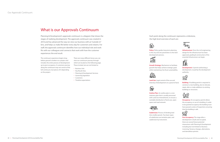**Policy:** Policy guides long-term planning **Infrastruct** in the city and sets parameters to the land

development process.



**Growth Strategy:** Mechanism to facilitate growth that helps achieve strategic goals while maintaining City fiscal sustainability.

**Outline Plan:** An outline plan is a nonstatutory plan that is usually processed with Land Use Amendments, to ensure a workable distribution of land uses, open



**Subdivision:** Process of dividing land into smaller parcels. Two basic types of subdivision are tentative plan, and subdivision by instrument.

**Land Use:** Legal control of the use and Land Use intensity of development on a parcel of land.

**Development:** A permit authorizing a development, issued by the development authority.



**Building:** A building permit is required to construct a new building, also to relocate, repair, alter or make additions to existing buildings or structures.



space and road network.



**Occupancy:** An occupancy permit allows the occupancy or use of a building. In order to be granted occupancy the building must have passed a series of inspections ensuring that the building is safe.



**Post Occupancy:** The stage after a development is built and occupied, there are several future potential interactions with Planning & Development including but not limited to: Business Licencing, Tenancy changes, alternations, and demolition permits.

**Infrastructure:** Once the civil engineering design for the infrastructure has been approved, grading & construction of the essential infrastructure can begin.



Each point along the continuum represents a milestone, the high level overview of each are:



## What is our Approvals Continuum

Planning & Development's approvals continuum is a diagram that shows the stages of realizing development. The approvals continuum was created in 2016 and has advanced the way we view our business with an "outside-in" lens, and helps us make life better every day for customers and citizens. For staff, the approvals continuum identifies how our individual role and work fits with our colleagues and connects that work with how the customer experiences the end result.

The continuum experience begins long before ground is broken on a project and includes the entire process of development up to post-occupancy. A customers journey along the continuum may not consist of the full continuum, but pieces of it depending on the project.

There are many different lenses you can view our continuum journey through which are located on the following page. These include, but are not limited to:

- **Business Unit**
- Key Result Area
- Planning & Development Services
- Governing legislation
- Customers
- Timeline expectations

Growth Strategy



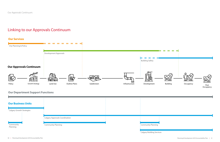## Linking to our Approvals Continuum

### **Our Services**



## **Our Department Support Functions**



Calgary Building Services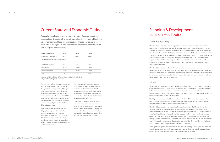## Current State and Economic Outlook

Calgary is a small open economy that is strongly influenced by external forces outside its borders. The prevailing world price for crude oil has been a significant driver of local economic activity. The region has experienced a slow and relative jobless recovery from the recent recession with growth continuing at a moderate pace.

| <b>Pulse Check Items</b> | 2017  | 2018  | 2019  |
|--------------------------|-------|-------|-------|
| Downtown Office Vacancy  | 26.4% | 26.0% | 25.6% |

**Source: Avison Young, Q2 Office Outlook**

| Unemployment rate | 8.7%   | 7.9%   | 7.2%    |
|-------------------|--------|--------|---------|
| Housing starts    | 29,500 | 28,900 | 29,200  |
| Population growth | 11,166 | 23,900 | 26,300  |
| GDP growth        | 4.4%   | 3.4%   | $2.0\%$ |

**Source: Fall 2018, Calgary & Region Economic Outlook 2018-2023, City of Calgary, Corporate Economics**

The downtown office vacancy rate appears to have peaked in 2017 and is expected to slowly decrease going forward although it has been estimated it may take up to ten years for this sector to stabilize. The unemployment rate also peaked in 2017 but is still considerably higher than the 10-year average of 6.6% and is expected to return near the average by the end of the One Calgary budget cycle.

It has been recently reported that the Calgary housing market is overbuilt which is likely leading to the slight decrease in housing starts in 2018, and the small increase in 2019. Forecasted population growth should help stabilize the unoccupied housing inventory over the next couple of years.

The primary driver of population growth is net migration, and Calgary is expected to remain an attractive destination for migrants. Gross Domestic Product (GDP) growth is set to slow from 2017 and be in line with the national forecast while below the provincial rate of 2.3%.

Calgary has, in the past, realized some rapid recoveries following recessions however this recovery indicates the drivers of that pattern have changed. Calgary still has some hurdles to manage during this prolonged recovery but is realizing a slow progressing improvement each year.

## Planning & Development Lens on Hot Topics

#### Economic Resiliency

Planning & Development plays an important role in economic resiliency and economic development. Our business and land development customers employ Calgarians, invest in the local economy, contribute to the revitalization and vibrancy of the city, build businesses that citizens rely on, and make Calgary their home. Given the challenging economic situation that exists in Calgary, our customers need support more than ever. The decisions made along the planning continuum, from policy creation to final inspections, can have a significant impact on the viability of their proposals. Planning & Development will continue to focus resources and expertise towards our customers' success, resulting in quality development and a more livable city.

Planning & Development will actively work to make our systems easier to access, our protocols less onerous to comply with and our approach more customer-centric. Partnerships across the corporation and with external groups such as Calgary Economic Development will be leveraged to make the case that Calgary is a great place to operate a business or to invest in land development and redevelopment.

#### Climate

The context for how Calgary is planned and built is shifting because our climate is changing. Green house gases cause more heat to be trapped in the atmosphere; a warmer atmosphere holds more moisture for longer periods of time, then releasing it in more intense ways. In Calgary, this will lead to more intense summer and winter storms, increased incidence of heat waves, and potential for multi-year drought.

The City recently approved a Climate Resilience Strategy (2018 June) that includes action plans to mitigate and adapt to climate change. These Corporate Plans aim to respond in a comprehensive way to the challenges of climate change.

Planning & Development are responsible for specific actions in the Climate Action Plans. Through our business units, Planning & Development will: work to bring forward next generation codes for building energy performance, protect properties and neighbourhoods from flooding with new policy and regulations, adapt our food system to climate change, develop approaches to ensure large scale developments explore feasibility of low-carbon energy systems, provide process support for innovative projects that deliver climate resilience and GHG reduction outcomes, and update the Municipal Development Plan and the Calgary Transportation Plan to address climate risks and GHG reduction.

Although this snapshot identifies important work that Planning & Development will do, our most important step is to apply a climate change lens to all our work, and recognize that the climate of the future will be different, and our work must reflect this.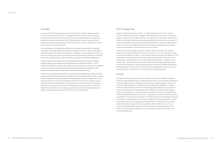#### Cannabis

In response to the Federal legalization of cannabis, The City of Calgary began preparing for new cannabis businesses in 2017. To prepare for this new business type, Planning & Development created a new cannabis store use, and amended existing uses to align with federal terminology and rules. Work done in 2018, enabled customers to apply for their development permit, building permit, and business licence online, resulting in time savings for our customers as well as City staff.

A comprehensive communications strategy was developed that included, an integrated web portal, continually updated FAQ, and a live webinar to walk our customers through the application process and answer their questions. In addition, resources and tools to assist our customers online were created, such as the cannabis map and online database for customers to check if a cannabis business may be allowed at a site due to the land use designation.

A team of subject matter experts from across Planning & Development was assembled to implement these plans in preparation for legalization of cannabis. On October 17, 2018, cannabis became legal in Canada, and Calgary was the city that was looked to by municipalities from across country as the municipality that was leading stakeholder engagement, and creating new business processes and rules to enable these legal businesses.

In 2019, the federal government intends to release additional regulations to allow for edible cannabis to be sold. Land Use Bylaw amendments were proactively created in 2018, including uses and separation rules, in anticipation for the legalization of edible cannabis 2019. As the federal government rolls out their regulations for this new use, The City of Calgary, and in particular Planning & Development is well prepared to respond. Planning & Development resourcing is planned in 2019, that will work alongside our Corporate team, and will add additional uses if needed, to once again proactively respond to the federal regulations to enable and support business owners that want to sell cannabis edibles.

#### Our Changing City

Calgary is expected to grow by another 1.3 million people over the next 30 - 60 years. Growth and development needs to happen within developed communities to ensure we create a compact and sustainable city where all communities remain vibrant and continue to thrive. Census data show that, today, proportionally fewer households are composed of a 'mom, dad and kids' family and more people are living alone, as part of a couple without children, or as part of a multigenerational family. One-person households accounted for 28.2% of all households in 2016, the highest share since 1867.

Trends in the share of couples living with or without children also reflect the growing diversity of households and families in Canada. From 2011 to 2016, the number of couples living without children rose faster (+7.2%) than the number of couples with children (+2.3%). The proportion of couples living with children has been decreasing for some time. This is mostly due to population aging. As the large baby-boom generation—people born from 1946 to 1965— grows older, more and more couples are becoming empty nesters due to their children leaving home. The changing household composition will affect the demand for different types of housing forms, especially as housing affordability becomes an issue. Housing diversity is a response to our increasing and changing population.

#### Growth

The goal of strategic growth and change is to build a city of great neighbourhoods that meet the various lifestyle choices of Calgary's diverse citizens, and to promote employment areas that support economic prosperity. In 2019, Calgary Growth Strategies will continue to work towards building of an Integrated Growth Strategy with application in all areas of the city. With the New Community Growth Strategy approved by Council in 2018, the focus of 2019 will be on the development of an Established Areas Growth and Change Strategy. This Strategy is an 18-month program of work that considers 179 targeted areas within the established area of the city, and is supported by a variety of internal and external stakeholders. The intention of the program is to deliver formal recommendations to Council to implement strategic tools and investments in support of redevelopment goals. In 2019, there will also be a focus on beginning the development of a framework for a city-wide Industrial Growth Strategy that will be considered in depth in 2020. The work in new community, established and industrial areas is strategic in nature and responds to the needs of current and future Calgarians, so we can all enjoy where we live, recreate and pursue our livelihoods.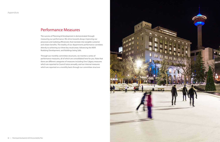## Performance Measures

The success of Planning & Development is demonstrated through measuring our performance. We strive towards always improving our processes and realizing efficiencies that translate into tangible customer and citizen benefits. The totality of our departments performance correlates directly to achieving our three key result areas: Advancing the MDP, Realizing Development, and Buildings being Safe.

Through our monthly committee structures, we monitor a series of performance measures, all of which are consolidated here for you. Note that there are different categories of measures including One Calgary measures which are reported to Council twice annually, and our internal measures which are reported on a monthly basis through our committee structure

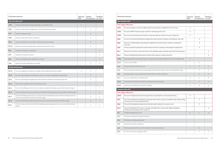| <b>Performance Measure</b>                                         |                                                                                                                                             |   | <b>Realizes</b><br><b>Development</b> | <b>Buildings</b><br>are safe |
|--------------------------------------------------------------------|---------------------------------------------------------------------------------------------------------------------------------------------|---|---------------------------------------|------------------------------|
|                                                                    | How well did we do?                                                                                                                         |   |                                       |                              |
|                                                                    | <b>One Calgary Measures:</b>                                                                                                                |   |                                       |                              |
| CPP <sub>1</sub>                                                   | Per cent of Calgary's land area addressed in local area plans completed in last four years                                                  | X |                                       |                              |
| CPP <sub>2</sub>                                                   | Per cent of MDP intensity targets reached in strategic growth areas                                                                         | X |                                       |                              |
| CPP <sub>3</sub>                                                   | Per cent of Local Area Plans that did not need amendments within four years of approval                                                     | X |                                       |                              |
| DA <sub>3</sub>                                                    | Per cent of technical development applications where decision timeline commitments were met                                                 |   | X                                     |                              |
| DA4                                                                | Percent of multidisciplinary development applications where decision timeline commitments<br>were met                                       |   | X                                     |                              |
| DA <sub>5</sub>                                                    | Percent of public facing female staff involved in decision making on development applications                                               |   | X                                     |                              |
| <b>BS1</b>                                                         | Percent of new home construction that meets building safety standards upon first-final inspection                                           |   |                                       | X                            |
| <b>BS2</b>                                                         | Percent of Residential Improvement Projects that required a single inspection                                                               |   |                                       | X                            |
| CPP <sub>6</sub>                                                   | Percentage of the municipal heritage conservation grant program utilized in the current budget cycle                                        | X |                                       |                              |
| <b>DA11</b>                                                        | Success rate at SDAB                                                                                                                        |   | Χ                                     |                              |
| CS <sub>2</sub>                                                    | Overall customer satisfaction score                                                                                                         | X | X                                     | X                            |
| CS <sub>3</sub>                                                    | Chat service levels (Customers serviced within 45 seconds for initial contact, 120 seconds for reply)                                       |   | Χ                                     | X                            |
| CS <sub>4</sub>                                                    | Average speed of service (wait times for all customers under 20 minutes)                                                                    |   | X                                     | X                            |
| PO <sub>1</sub>                                                    | Per cent of applications available online                                                                                                   | X | X                                     | X                            |
| FGC1                                                               | Comparison of actual costs by service and departments to budget                                                                             | X | X                                     | X                            |
| FGC <sub>2</sub><br>Spend rate of capital (plus on time/on budget) |                                                                                                                                             | Χ | Χ                                     | X                            |
|                                                                    | Is anyone better off?                                                                                                                       |   |                                       |                              |
|                                                                    | <b>One Calgary Measures:</b>                                                                                                                |   |                                       |                              |
| CPP4                                                               | Per cent of Calgarians that had an opportunity to participate in community planning                                                         | X |                                       |                              |
| DA <sub>1</sub>                                                    | Per cent of significant development proposals that achieve a good or excellent urban design rating<br>at the time of a recommended decision |   | X                                     |                              |
| DA <sub>2</sub>                                                    | Per cent of development agreements that have been in place for six years or less                                                            |   | Χ                                     |                              |
| <b>BS3</b>                                                         | Percent of buildings five storeys or greater and older than 10 years that submit a Building<br>Envelope Visual Inspection for review (%)    |   |                                       | Χ                            |
| PC <sub>1</sub>                                                    | Employee engagement score                                                                                                                   | X | X                                     | $\mathsf X$                  |
| PC <sub>2</sub>                                                    | Employee development budget utilization                                                                                                     |   |                                       |                              |
| PC <sub>3</sub>                                                    | PD Wellness subsidy participation                                                                                                           |   |                                       |                              |
| PC4                                                                | Departmental safety compliance                                                                                                              |   |                                       |                              |
| CS <sub>5</sub>                                                    | Participant rating of four out of 5 or better for partners in planning                                                                      |   | X                                     |                              |
| PO <sub>2</sub>                                                    | Per cent of customers applying online                                                                                                       |   | Χ                                     | Χ                            |

|                  | <b>Performance Measure</b>                                                                                                                               | <b>Advances</b><br><b>MDP</b> | <b>Realizes</b><br><b>Development</b> | <b>Buildings</b><br>are safe |
|------------------|----------------------------------------------------------------------------------------------------------------------------------------------------------|-------------------------------|---------------------------------------|------------------------------|
|                  | How much did we do?                                                                                                                                      |                               |                                       |                              |
| CPP <sub>5</sub> | Number of Municipal Heritage Designations completed (total)                                                                                              | $\times$                      |                                       |                              |
| DA6              | Number of development applications received and decisions made                                                                                           |                               | X                                     |                              |
| DA7              | Number of appeals heard                                                                                                                                  |                               | X                                     |                              |
| DA8              | Number of specialist reviews completed                                                                                                                   |                               | X                                     |                              |
| DA <sub>9</sub>  | Amount of performance securities received, closed and reduced                                                                                            |                               | X                                     |                              |
| <b>DA10</b>      | Number of concurrent applications received and decisions made                                                                                            |                               | X                                     |                              |
| BS4              | Number of inspections completed                                                                                                                          |                               |                                       | X                            |
| BS <sub>5</sub>  | Number of occupancies grants                                                                                                                             |                               |                                       | X                            |
| BS <sub>6</sub>  | Volume of building permit applications received                                                                                                          |                               |                                       | X                            |
| CS <sub>6</sub>  | Number of online applications processed                                                                                                                  |                               | X                                     | X                            |
|                  | <b>Timeline Performance</b>                                                                                                                              |                               |                                       |                              |
| DA-A             | Per cent of applications deemed complete within legislated timeframe (MGA)                                                                               | X                             | X                                     |                              |
| $DA-B$           | Per cent of key milestone commitments met in the review of development applications                                                                      |                               | X                                     |                              |
| DA-C             | Per cent of development applications where decision timeline commitments were met                                                                        |                               | X                                     |                              |
| DA-D             | Ratio of city to applicant time (monitoring measure)                                                                                                     |                               | X                                     |                              |
| BS-A             | Per cent of building permits for new low density residential dwellings issued within timeline targets                                                    |                               | X                                     | X                            |
| <b>BS-B</b>      | Per cent of improvements to commercial and multifamily developments issued within timeline targets                                                       |                               | X                                     | X                            |
| BS-C             | Percent of building permits for new commercial and multi-family projects that received permission to<br>commence construction within the timeline target |                               | X                                     | X                            |
| <b>BS-D</b>      | Per cent of Residential Improvement Project permits that are issued within timeline targets                                                              |                               | X                                     | X                            |
| <b>BS-E</b>      | Per cent of new commercial multi-family building permit applications that are issued within timeline<br>targets                                          |                               | Χ                                     | Χ                            |